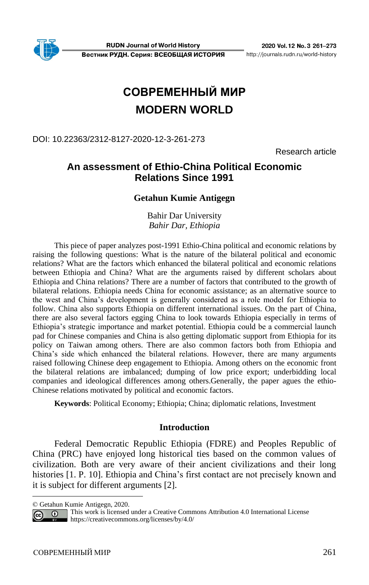# **СОВРЕМЕННЫЙ МИР MODERN WORLD**

## DOI: 10.22363/2312-8127-2020-12-3-261-273

Research article

# **An assessment of Ethio-China Political Economic Relations Since 1991<sup>1</sup>**

## **Getahun Kumie Antigegn**

Bahir Dar University *Bahir Dar, Ethiopia*

This piece of paper analyzes post-1991 Ethio-China political and economic relations by raising the following questions: What is the nature of the bilateral political and economic relations? What are the factors which enhanced the bilateral political and economic relations between Ethiopia and China? What are the arguments raised by different scholars about Ethiopia and China relations? There are a number of factors that contributed to the growth of bilateral relations. Ethiopia needs China for economic assistance; as an alternative source to the west and China's development is generally considered as a role model for Ethiopia to follow. China also supports Ethiopia on different international issues. On the part of China, there are also several factors egging China to look towards Ethiopia especially in terms of Ethiopia's strategic importance and market potential. Ethiopia could be a commercial launch pad for Chinese companies and China is also getting diplomatic support from Ethiopia for its policy on Taiwan among others. There are also common factors both from Ethiopia and China's side which enhanced the bilateral relations. However, there are many arguments raised following Chinese deep engagement to Ethiopia. Among others on the economic front the bilateral relations are imbalanced; dumping of low price export; underbidding local companies and ideological differences among others.Generally, the paper agues the ethio-Chinese relations motivated by political and economic factors.

**Keywords**: Political Economy; Ethiopia; China; diplomatic relations, Investment

#### **Introduction**

Federal Democratic Republic Ethiopia (FDRE) and Peoples Republic of China (PRC) have enjoyed long historical ties based on the common values of civilization. Both are very aware of their ancient civilizations and their long histories [1. P. 10]. Ethiopia and China's first contact are not precisely known and it is subject for different arguments [2].

<sup>©</sup> Getahun Kumie Antigegn, 2020.

This work is licensed under a Creative Commons Attribution 4.0 International License  $\odot$  $(cc)$ <https://creativecommons.org/licenses/by/4.0/>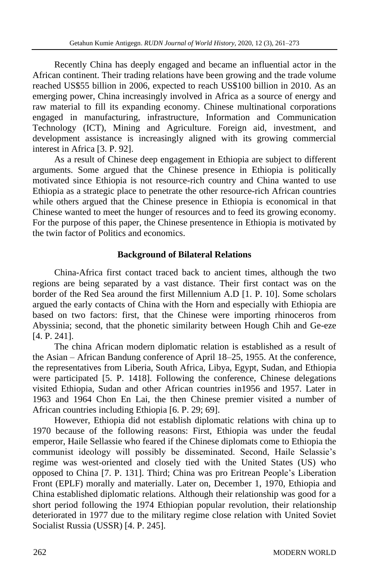Recently China has deeply engaged and became an influential actor in the African continent. Their trading relations have been growing and the trade volume reached US\$55 billion in 2006, expected to reach US\$100 billion in 2010. As an emerging power, China increasingly involved in Africa as a source of energy and raw material to fill its expanding economy. Chinese multinational corporations engaged in manufacturing, infrastructure, Information and Communication Technology (ICT), Mining and Agriculture. Foreign aid, investment, and development assistance is increasingly aligned with its growing commercial interest in Africa [3. P. 92].

As a result of Chinese deep engagement in Ethiopia are subject to different arguments. Some argued that the Chinese presence in Ethiopia is politically motivated since Ethiopia is not resource-rich country and China wanted to use Ethiopia as a strategic place to penetrate the other resource-rich African countries while others argued that the Chinese presence in Ethiopia is economical in that Chinese wanted to meet the hunger of resources and to feed its growing economy. For the purpose of this paper, the Chinese presentence in Ethiopia is motivated by the twin factor of Politics and economics.

## **Background of Bilateral Relations**

China-Africa first contact traced back to ancient times, although the two regions are being separated by a vast distance. Their first contact was on the border of the Red Sea around the first Millennium A.D [1. P. 10]. Some scholars argued the early contacts of China with the Horn and especially with Ethiopia are based on two factors: first, that the Chinese were importing rhinoceros from Abyssinia; second, that the phonetic similarity between Hough Chih and Ge-eze [4. P. 241].

The china African modern diplomatic relation is established as a result of the Asian – African Bandung conference of April 18–25, 1955. At the conference, the representatives from Liberia, South Africa, Libya, Egypt, Sudan, and Ethiopia were participated [5. P. 1418]. Following the conference, Chinese delegations visited Ethiopia, Sudan and other African countries in1956 and 1957. Later in 1963 and 1964 Chon En Lai, the then Chinese premier visited a number of African countries including Ethiopia [6. P. 29; 69].

However, Ethiopia did not establish diplomatic relations with china up to 1970 because of the following reasons: First, Ethiopia was under the feudal emperor, Haile Sellassie who feared if the Chinese diplomats come to Ethiopia the communist ideology will possibly be disseminated. Second, Haile Selassie's regime was west-oriented and closely tied with the United States (US) who opposed to China [7. P. 131]. Third; China was pro Eritrean People's Liberation Front (EPLF) morally and materially. Later on, December 1, 1970, Ethiopia and China established diplomatic relations. Although their relationship was good for a short period following the 1974 Ethiopian popular revolution, their relationship deteriorated in 1977 due to the military regime close relation with United Soviet Socialist Russia (USSR) [4. P. 245].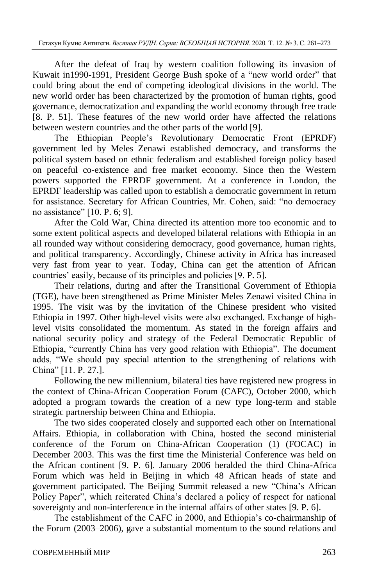After the defeat of Iraq by western coalition following its invasion of Kuwait in1990-1991, President George Bush spoke of a "new world order" that could bring about the end of competing ideological divisions in the world. The new world order has been characterized by the promotion of human rights, good governance, democratization and expanding the world economy through free trade [8. P. 51]. These features of the new world order have affected the relations between western countries and the other parts of the world [9].

The Ethiopian People's Revolutionary Democratic Front (EPRDF) government led by Meles Zenawi established democracy, and transforms the political system based on ethnic federalism and established foreign policy based on peaceful co-existence and free market economy. Since then the Western powers supported the EPRDF government. At a conference in London, the EPRDF leadership was called upon to establish a democratic government in return for assistance. Secretary for African Countries, Mr. Cohen, said: "no democracy no assistance" [10. P. 6; 9].

After the Cold War, China directed its attention more too economic and to some extent political aspects and developed bilateral relations with Ethiopia in an all rounded way without considering democracy, good governance, human rights, and political transparency. Accordingly, Chinese activity in Africa has increased very fast from year to year. Today, China can get the attention of African countries' easily, because of its principles and policies [9. P. 5].

Their relations, during and after the Transitional Government of Ethiopia (TGE), have been strengthened as Prime Minister Meles Zenawi visited China in 1995. The visit was by the invitation of the Chinese president who visited Ethiopia in 1997. Other high-level visits were also exchanged. Exchange of highlevel visits consolidated the momentum. As stated in the foreign affairs and national security policy and strategy of the Federal Democratic Republic of Ethiopia, "currently China has very good relation with Ethiopia". The document adds, "We should pay special attention to the strengthening of relations with China" [11. P. 27.].

Following the new millennium, bilateral ties have registered new progress in the context of China-African Cooperation Forum (CAFC), October 2000, which adopted a program towards the creation of a new type long-term and stable strategic partnership between China and Ethiopia.

The two sides cooperated closely and supported each other on International Affairs. Ethiopia, in collaboration with China, hosted the second ministerial conference of the Forum on China-African Cooperation (1) (FOCAC) in December 2003. This was the first time the Ministerial Conference was held on the African continent [9. P. 6]. January 2006 heralded the third China-Africa Forum which was held in Beijing in which 48 African heads of state and government participated. The Beijing Summit released a new "China's African Policy Paper", which reiterated China's declared a policy of respect for national sovereignty and non-interference in the internal affairs of other states [9. P. 6].

The establishment of the CAFC in 2000, and Ethiopia's co-chairmanship of the Forum (2003–2006), gave a substantial momentum to the sound relations and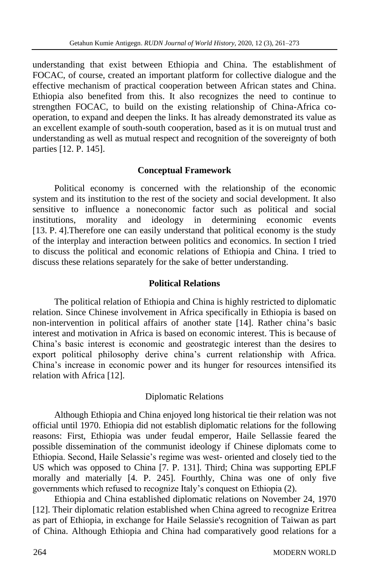understanding that exist between Ethiopia and China. The establishment of FOCAC, of course, created an important platform for collective dialogue and the effective mechanism of practical cooperation between African states and China. Ethiopia also benefited from this. It also recognizes the need to continue to strengthen FOCAC, to build on the existing relationship of China-Africa cooperation, to expand and deepen the links. It has already demonstrated its value as an excellent example of south-south cooperation, based as it is on mutual trust and understanding as well as mutual respect and recognition of the sovereignty of both parties [12. P. 145].

## **Conceptual Framework**

Political economy is concerned with the relationship of the economic system and its institution to the rest of the society and social development. It also sensitive to influence a noneconomic factor such as political and social institutions, morality and ideology in determining economic events [13. P. 4].Therefore one can easily understand that political economy is the study of the interplay and interaction between politics and economics. In section I tried to discuss the political and economic relations of Ethiopia and China. I tried to discuss these relations separately for the sake of better understanding.

#### **Political Relations**

The political relation of Ethiopia and China is highly restricted to diplomatic relation. Since Chinese involvement in Africa specifically in Ethiopia is based on non-intervention in political affairs of another state [14]. Rather china's basic interest and motivation in Africa is based on economic interest. This is because of China's basic interest is economic and geostrategic interest than the desires to export political philosophy derive china's current relationship with Africa. China's increase in economic power and its hunger for resources intensified its relation with Africa [12].

## Diplomatic Relations

Although Ethiopia and China enjoyed long historical tie their relation was not official until 1970. Ethiopia did not establish diplomatic relations for the following reasons: First, Ethiopia was under feudal emperor, Haile Sellassie feared the possible dissemination of the communist ideology if Chinese diplomats come to Ethiopia. Second, Haile Selassie's regime was west- oriented and closely tied to the US which was opposed to China [7. P. 131]. Third; China was supporting EPLF morally and materially [4. P. 245]. Fourthly, China was one of only five governments which refused to recognize Italy's conquest on Ethiopia (2).

Ethiopia and China established diplomatic relations on November 24, 1970 [12]. Their diplomatic relation established when China agreed to recognize Eritrea as part of Ethiopia, in exchange for Haile Selassie's recognition of Taiwan as part of China. Although Ethiopia and China had comparatively good relations for a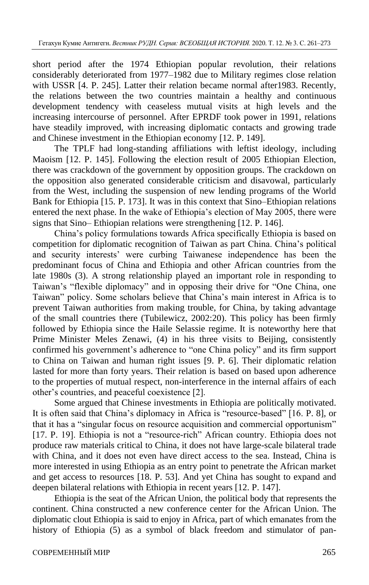short period after the 1974 Ethiopian popular revolution, their relations considerably deteriorated from 1977–1982 due to Military regimes close relation with USSR [4. P. 245]. Latter their relation became normal after1983. Recently, the relations between the two countries maintain a healthy and continuous development tendency with ceaseless mutual visits at high levels and the increasing intercourse of personnel. After EPRDF took power in 1991, relations have steadily improved, with increasing diplomatic contacts and growing trade and Chinese investment in the Ethiopian economy [12. P. 149].

The TPLF had long-standing affiliations with leftist ideology, including Maoism [12. P. 145]. Following the election result of 2005 Ethiopian Election, there was crackdown of the government by opposition groups. The crackdown on the opposition also generated considerable criticism and disavowal, particularly from the West, including the suspension of new lending programs of the World Bank for Ethiopia [15. P. 173]. It was in this context that Sino–Ethiopian relations entered the next phase. In the wake of Ethiopia's election of May 2005, there were signs that Sino– Ethiopian relations were strengthening [12. P. 146].

China's policy formulations towards Africa specifically Ethiopia is based on competition for diplomatic recognition of Taiwan as part China. China's political and security interests' were curbing Taiwanese independence has been the predominant focus of China and Ethiopia and other African countries from the late 1980s (3). A strong relationship played an important role in responding to Taiwan's "flexible diplomacy" and in opposing their drive for "One China, one Taiwan" policy. Some scholars believe that China's main interest in Africa is to prevent Taiwan authorities from making trouble, for China, by taking advantage of the small countries there (Tubilewicz, 2002:20). This policy has been firmly followed by Ethiopia since the Haile Selassie regime. It is noteworthy here that Prime Minister Meles Zenawi, (4) in his three visits to Beijing, consistently confirmed his government's adherence to "one China policy" and its firm support to China on Taiwan and human right issues [9. P. 6]. Their diplomatic relation lasted for more than forty years. Their relation is based on based upon adherence to the properties of mutual respect, non-interference in the internal affairs of each other's countries, and peaceful coexistence [2].

Some argued that Chinese investments in Ethiopia are politically motivated. It is often said that China's diplomacy in Africa is "resource-based" [16. P. 8], or that it has a "singular focus on resource acquisition and commercial opportunism" [17. P. 19]. Ethiopia is not a "resource-rich" African country. Ethiopia does not produce raw materials critical to China, it does not have large-scale bilateral trade with China, and it does not even have direct access to the sea. Instead, China is more interested in using Ethiopia as an entry point to penetrate the African market and get access to resources [18. P. 53]. And yet China has sought to expand and deepen bilateral relations with Ethiopia in recent years [12. P. 147].

Ethiopia is the seat of the African Union, the political body that represents the continent. China constructed a new conference center for the African Union. The diplomatic clout Ethiopia is said to enjoy in Africa, part of which emanates from the history of Ethiopia (5) as a symbol of black freedom and stimulator of pan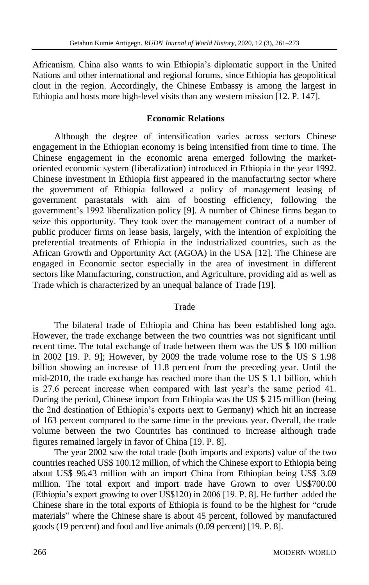Africanism. China also wants to win Ethiopia's diplomatic support in the United Nations and other international and regional forums, since Ethiopia has geopolitical clout in the region. Accordingly, the Chinese Embassy is among the largest in Ethiopia and hosts more high-level visits than any western mission [12. P. 147].

#### **Economic Relations**

Although the degree of intensification varies across sectors Chinese engagement in the Ethiopian economy is being intensified from time to time. The Chinese engagement in the economic arena emerged following the marketoriented economic system (liberalization) introduced in Ethiopia in the year 1992. Chinese investment in Ethiopia first appeared in the manufacturing sector where the government of Ethiopia followed a policy of management leasing of government parastatals with aim of boosting efficiency, following the government's 1992 liberalization policy [9]. A number of Chinese firms began to seize this opportunity. They took over the management contract of a number of public producer firms on lease basis, largely, with the intention of exploiting the preferential treatments of Ethiopia in the industrialized countries, such as the African Growth and Opportunity Act (AGOA) in the USA [12]. The Chinese are engaged in Economic sector especially in the area of investment in different sectors like Manufacturing, construction, and Agriculture, providing aid as well as Trade which is characterized by an unequal balance of Trade [19].

#### Trade

The bilateral trade of Ethiopia and China has been established long ago. However, the trade exchange between the two countries was not significant until recent time. The total exchange of trade between them was the US \$ 100 million in 2002 [19. P. 9]; However, by 2009 the trade volume rose to the US \$ 1.98 billion showing an increase of 11.8 percent from the preceding year. Until the mid-2010, the trade exchange has reached more than the US \$ 1.1 billion, which is 27.6 percent increase when compared with last year's the same period 41. During the period, Chinese import from Ethiopia was the US \$ 215 million (being the 2nd destination of Ethiopia's exports next to Germany) which hit an increase of 163 percent compared to the same time in the previous year. Overall, the trade volume between the two Countries has continued to increase although trade figures remained largely in favor of China [19. P. 8].

The year 2002 saw the total trade (both imports and exports) value of the two countries reached US\$ 100.12 million, of which the Chinese export to Ethiopia being about US\$ 96.43 million with an import China from Ethiopian being US\$ 3.69 million. The total export and import trade have Grown to over US\$700.00 (Ethiopia's export growing to over US\$120) in 2006 [19. P. 8]. He further added the Chinese share in the total exports of Ethiopia is found to be the highest for "crude materials" where the Chinese share is about 45 percent, followed by manufactured goods (19 percent) and food and live animals (0.09 percent) [19. P. 8].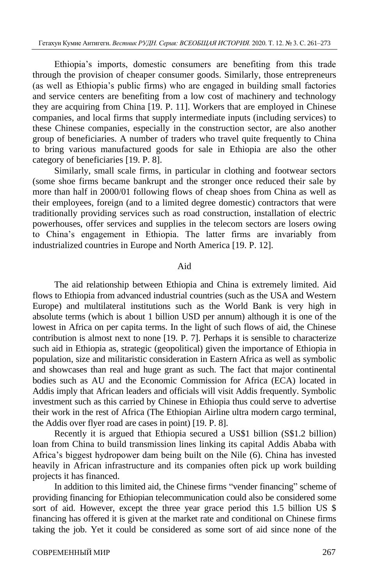Ethiopia's imports, domestic consumers are benefiting from this trade through the provision of cheaper consumer goods. Similarly, those entrepreneurs (as well as Ethiopia's public firms) who are engaged in building small factories and service centers are benefiting from a low cost of machinery and technology they are acquiring from China [19. P. 11]. Workers that are employed in Chinese companies, and local firms that supply intermediate inputs (including services) to these Chinese companies, especially in the construction sector, are also another group of beneficiaries. A number of traders who travel quite frequently to China to bring various manufactured goods for sale in Ethiopia are also the other category of beneficiaries [19. P. 8].

Similarly, small scale firms, in particular in clothing and footwear sectors (some shoe firms became bankrupt and the stronger once reduced their sale by more than half in 2000/01 following flows of cheap shoes from China as well as their employees, foreign (and to a limited degree domestic) contractors that were traditionally providing services such as road construction, installation of electric powerhouses, offer services and supplies in the telecom sectors are losers owing to China's engagement in Ethiopia. The latter firms are invariably from industrialized countries in Europe and North America [19. P. 12].

## Aid

The aid relationship between Ethiopia and China is extremely limited. Aid flows to Ethiopia from advanced industrial countries (such as the USA and Western Europe) and multilateral institutions such as the World Bank is very high in absolute terms (which is about 1 billion USD per annum) although it is one of the lowest in Africa on per capita terms. In the light of such flows of aid, the Chinese contribution is almost next to none [19. P. 7]. Perhaps it is sensible to characterize such aid in Ethiopia as, strategic (geopolitical) given the importance of Ethiopia in population, size and militaristic consideration in Eastern Africa as well as symbolic and showcases than real and huge grant as such. The fact that major continental bodies such as AU and the Economic Commission for Africa (ECA) located in Addis imply that African leaders and officials will visit Addis frequently. Symbolic investment such as this carried by Chinese in Ethiopia thus could serve to advertise their work in the rest of Africa (The Ethiopian Airline ultra modern cargo terminal, the Addis over flyer road are cases in point) [19. P. 8].

Recently it is argued that Ethiopia secured a US\$1 billion (S\$1.2 billion) loan from China to build transmission lines linking its capital Addis Ababa with Africa's biggest hydropower dam being built on the Nile (6). China has invested heavily in African infrastructure and its companies often pick up work building projects it has financed.

In addition to this limited aid, the Chinese firms "vender financing" scheme of providing financing for Ethiopian telecommunication could also be considered some sort of aid. However, except the three year grace period this 1.5 billion US \$ financing has offered it is given at the market rate and conditional on Chinese firms taking the job. Yet it could be considered as some sort of aid since none of the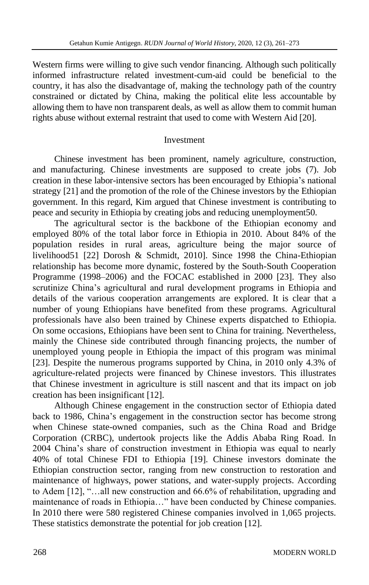Western firms were willing to give such vendor financing. Although such politically informed infrastructure related investment-cum-aid could be beneficial to the country, it has also the disadvantage of, making the technology path of the country constrained or dictated by China, making the political elite less accountable by allowing them to have non transparent deals, as well as allow them to commit human rights abuse without external restraint that used to come with Western Aid [20].

#### Investment

Chinese investment has been prominent, namely agriculture, construction, and manufacturing. Chinese investments are supposed to create jobs (7). Job creation in these labor-intensive sectors has been encouraged by Ethiopia's national strategy [21] and the promotion of the role of the Chinese investors by the Ethiopian government. In this regard, Kim argued that Chinese investment is contributing to peace and security in Ethiopia by creating jobs and reducing unemployment50.

The agricultural sector is the backbone of the Ethiopian economy and employed 80% of the total labor force in Ethiopia in 2010. About 84% of the population resides in rural areas, agriculture being the major source of livelihood51 [22] Dorosh & Schmidt, 2010]. Since 1998 the China-Ethiopian relationship has become more dynamic, fostered by the South-South Cooperation Programme (1998–2006) and the FOCAC established in 2000 [23]. They also scrutinize China's agricultural and rural development programs in Ethiopia and details of the various cooperation arrangements are explored. It is clear that a number of young Ethiopians have benefited from these programs. Agricultural professionals have also been trained by Chinese experts dispatched to Ethiopia. On some occasions, Ethiopians have been sent to China for training. Nevertheless, mainly the Chinese side contributed through financing projects, the number of unemployed young people in Ethiopia the impact of this program was minimal [23]. Despite the numerous programs supported by China, in 2010 only 4.3% of agriculture-related projects were financed by Chinese investors. This illustrates that Chinese investment in agriculture is still nascent and that its impact on job creation has been insignificant [12].

Although Chinese engagement in the construction sector of Ethiopia dated back to 1986, China's engagement in the construction sector has become strong when Chinese state-owned companies, such as the China Road and Bridge Corporation (CRBC), undertook projects like the Addis Ababa Ring Road. In 2004 China's share of construction investment in Ethiopia was equal to nearly 40% of total Chinese FDI to Ethiopia [19]. Chinese investors dominate the Ethiopian construction sector, ranging from new construction to restoration and maintenance of highways, power stations, and water-supply projects. According to Adem [12], "…all new construction and 66.6% of rehabilitation, upgrading and maintenance of roads in Ethiopia…" have been conducted by Chinese companies. In 2010 there were 580 registered Chinese companies involved in 1,065 projects. These statistics demonstrate the potential for job creation [12].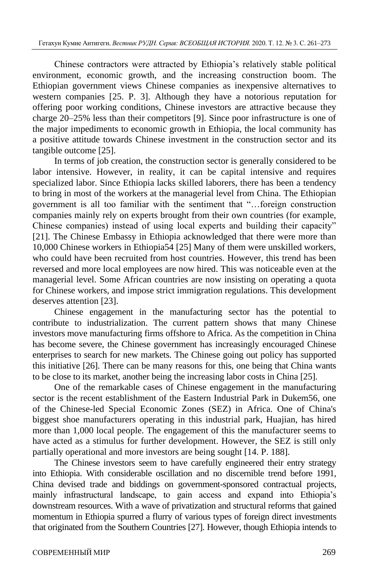Chinese contractors were attracted by Ethiopia's relatively stable political environment, economic growth, and the increasing construction boom. The Ethiopian government views Chinese companies as inexpensive alternatives to western companies [25. P. 3]. Although they have a notorious reputation for offering poor working conditions, Chinese investors are attractive because they charge 20–25% less than their competitors [9]. Since poor infrastructure is one of the major impediments to economic growth in Ethiopia, the local community has a positive attitude towards Chinese investment in the construction sector and its tangible outcome [25].

In terms of job creation, the construction sector is generally considered to be labor intensive. However, in reality, it can be capital intensive and requires specialized labor. Since Ethiopia lacks skilled laborers, there has been a tendency to bring in most of the workers at the managerial level from China. The Ethiopian government is all too familiar with the sentiment that "…foreign construction companies mainly rely on experts brought from their own countries (for example, Chinese companies) instead of using local experts and building their capacity" [21]. The Chinese Embassy in Ethiopia acknowledged that there were more than 10,000 Chinese workers in Ethiopia54 [25] Many of them were unskilled workers, who could have been recruited from host countries. However, this trend has been reversed and more local employees are now hired. This was noticeable even at the managerial level. Some African countries are now insisting on operating a quota for Chinese workers, and impose strict immigration regulations. This development deserves attention [23].

Chinese engagement in the manufacturing sector has the potential to contribute to industrialization. The current pattern shows that many Chinese investors move manufacturing firms offshore to Africa. As the competition in China has become severe, the Chinese government has increasingly encouraged Chinese enterprises to search for new markets. The Chinese going out policy has supported this initiative [26]. There can be many reasons for this, one being that China wants to be close to its market, another being the increasing labor costs in China [25].

One of the remarkable cases of Chinese engagement in the manufacturing sector is the recent establishment of the Eastern Industrial Park in Dukem56, one of the Chinese-led Special Economic Zones (SEZ) in Africa. One of China's biggest shoe manufacturers operating in this industrial park, Huajian, has hired more than 1,000 local people. The engagement of this the manufacturer seems to have acted as a stimulus for further development. However, the SEZ is still only partially operational and more investors are being sought [14. P. 188].

The Chinese investors seem to have carefully engineered their entry strategy into Ethiopia. With considerable oscillation and no discernible trend before 1991, China devised trade and biddings on government-sponsored contractual projects, mainly infrastructural landscape, to gain access and expand into Ethiopia's downstream resources. With a wave of privatization and structural reforms that gained momentum in Ethiopia spurred a flurry of various types of foreign direct investments that originated from the Southern Countries [27]. However, though Ethiopia intends to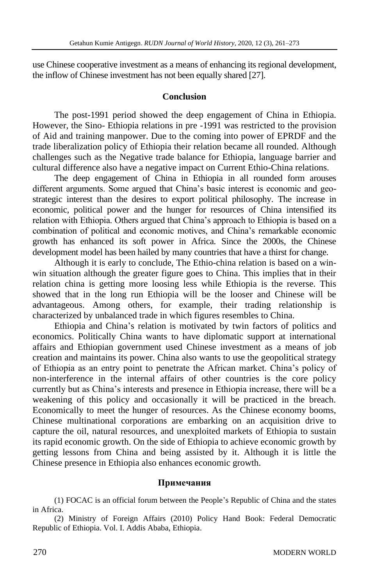use Chinese cooperative investment as a means of enhancing its regional development, the inflow of Chinese investment has not been equally shared [27].

## **Conclusion**

The post-1991 period showed the deep engagement of China in Ethiopia. However, the Sino- Ethiopia relations in pre -1991 was restricted to the provision of Aid and training manpower. Due to the coming into power of EPRDF and the trade liberalization policy of Ethiopia their relation became all rounded. Although challenges such as the Negative trade balance for Ethiopia, language barrier and cultural difference also have a negative impact on Current Ethio-China relations.

The deep engagement of China in Ethiopia in all rounded form arouses different arguments. Some argued that China's basic interest is economic and geostrategic interest than the desires to export political philosophy. The increase in economic, political power and the hunger for resources of China intensified its relation with Ethiopia. Others argued that China's approach to Ethiopia is based on a combination of political and economic motives, and China's remarkable economic growth has enhanced its soft power in Africa. Since the 2000s, the Chinese development model has been hailed by many countries that have a thirst for change.

Although it is early to conclude, The Ethio-china relation is based on a winwin situation although the greater figure goes to China. This implies that in their relation china is getting more loosing less while Ethiopia is the reverse. This showed that in the long run Ethiopia will be the looser and Chinese will be advantageous. Among others, for example, their trading relationship is characterized by unbalanced trade in which figures resembles to China.

Ethiopia and China's relation is motivated by twin factors of politics and economics. Politically China wants to have diplomatic support at international affairs and Ethiopian government used Chinese investment as a means of job creation and maintains its power. China also wants to use the geopolitical strategy of Ethiopia as an entry point to penetrate the African market. China's policy of non-interference in the internal affairs of other countries is the core policy currently but as China's interests and presence in Ethiopia increase, there will be a weakening of this policy and occasionally it will be practiced in the breach. Economically to meet the hunger of resources. As the Chinese economy booms, Chinese multinational corporations are embarking on an acquisition drive to capture the oil, natural resources, and unexploited markets of Ethiopia to sustain its rapid economic growth. On the side of Ethiopia to achieve economic growth by getting lessons from China and being assisted by it. Although it is little the Chinese presence in Ethiopia also enhances economic growth.

#### **Примечания**

(1) FOCAC is an official forum between the People's Republic of China and the states in Africa.

(2) Ministry of Foreign Affairs (2010) Policy Hand Book: Federal Democratic Republic of Ethiopia. Vol. I. Addis Ababa, Ethiopia.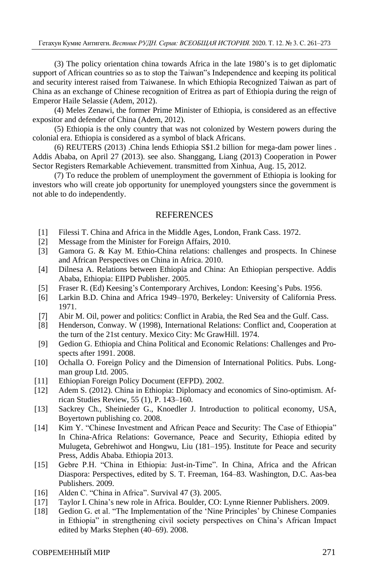(3) The policy orientation china towards Africa in the late 1980's is to get diplomatic support of African countries so as to stop the Taiwan"s Independence and keeping its political and security interest raised from Taiwanese. In which Ethiopia Recognized Taiwan as part of China as an exchange of Chinese recognition of Eritrea as part of Ethiopia during the reign of Emperor Haile Selassie (Adem, 2012).

(4) Meles Zenawi, the former Prime Minister of Ethiopia, is considered as an effective expositor and defender of China (Adem, 2012).

(5) Ethiopia is the only country that was not colonized by Western powers during the colonial era. Ethiopia is considered as a symbol of black Africans.

(6) REUTERS (2013) .China lends Ethiopia S\$1.2 billion for mega-dam power lines . Addis Ababa, on April 27 (2013). see also. Shanggang, Liang (2013) Cooperation in Power Sector Registers Remarkable Achievement. transmitted from Xinhua, Aug. 15, 2012.

(7) To reduce the problem of unemployment the government of Ethiopia is looking for investors who will create job opportunity for unemployed youngsters since the government is not able to do independently.

#### **REFERENCES**

- [1] Filessi T. China and Africa in the Middle Ages, London, Frank Cass. 1972.
- [2] Message from the Minister for Foreign Affairs, 2010.
- [3] Gamora G. & Kay M. Ethio-China relations: challenges and prospects. In Chinese and African Perspectives on China in Africa. 2010.
- [4] Dilnesa A. Relations between Ethiopia and China: An Ethiopian perspective. Addis Ababa, Ethiopia: EIIPD Publisher. 2005.
- [5] Fraser R. (Ed) Keesing's Contemporary Archives, London: Keesing's Pubs. 1956.
- [6] Larkin B.D. China and Africa 1949–1970, Berkeley: University of California Press. 1971.
- [7] Abir M. Oil, power and politics: Conflict in Arabia, the Red Sea and the Gulf. Cass.
- [8] Henderson, Conway. W (1998), International Relations: Conflict and, Cooperation at the turn of the 21st century. Mexico City: Mc GrawHill. 1974.
- [9] Gedion G. Ethiopia and China Political and Economic Relations: Challenges and Prospects after 1991. 2008.
- [10] Ochalla O. Foreign Policy and the Dimension of International Politics. Pubs. Longman group Ltd. 2005.
- [11] Ethiopian Foreign Policy Document (EFPD). 2002.
- [12] Adem S. (2012). China in Ethiopia: Diplomacy and economics of Sino-optimism. African Studies Review, 55 (1), P. 143–160.
- [13] Sackrey Ch., Sheinieder G., Knoedler J. Introduction to political economy, USA, Boyertown publishing co. 2008.
- [14] Kim Y. "Chinese Investment and African Peace and Security: The Case of Ethiopia" In China-Africa Relations: Governance, Peace and Security, Ethiopia edited by Mulugeta, Gebrehiwot and Hongwu, Liu (181–195). Institute for Peace and security Press, Addis Ababa. Ethiopia 2013.
- [15] Gebre P.H. "China in Ethiopia: Just-in-Time". In China, Africa and the African Diaspora: Perspectives, edited by S. T. Freeman, 164–83. Washington, D.C. Aas-bea Publishers. 2009.
- [16] Alden C. "China in Africa". Survival 47 (3). 2005.
- [17] Taylor I. China's new role in Africa. Boulder, CO: Lynne Rienner Publishers. 2009.
- [18] Gedion G. et al. "The Implementation of the 'Nine Principles' by Chinese Companies in Ethiopia" in strengthening civil society perspectives on China's African Impact edited by Marks Stephen (40–69). 2008.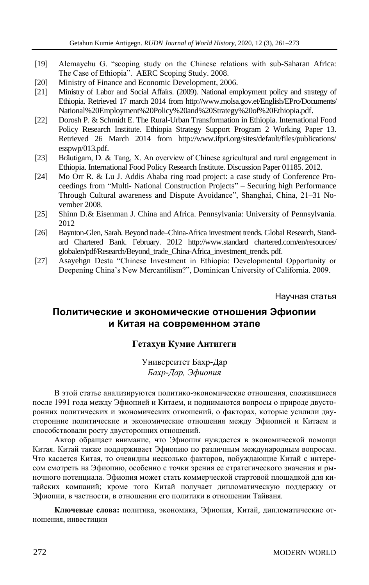- [19] Alemayehu G. "scoping study on the Chinese relations with sub-Saharan Africa: The Case of Ethiopia". AERC Scoping Study. 2008.
- [20] Ministry of Finance and Economic Development, 2006.
- [21] Ministry of Labor and Social Affairs. (2009). National employment policy and strategy of Ethiopia. Retrieved 17 march 2014 from http://www.molsa.gov.et/English/EPro/Documents/ National%20Employment%20Policy%20and%20Strategy%20of%20Ethiopia.pdf.
- [22] Dorosh P. & Schmidt E. The Rural-Urban Transformation in Ethiopia. International Food Policy Research Institute. Ethiopia Strategy Support Program 2 Working Paper 13. Retrieved 26 March 2014 from http://www.ifpri.org/sites/default/files/publications/ esspwp/013.pdf.
- [23] Bräutigam, D. & Tang, X. An overview of Chinese agricultural and rural engagement in Ethiopia. International Food Policy Research Institute. Discussion Paper 01185. 2012.
- [24] Mo Orr R. & Lu J. Addis Ababa ring road project: a case study of Conference Proceedings from "Multi- National Construction Projects" – Securing high Performance Through Cultural awareness and Dispute Avoidance", Shanghai, China, 21–31 November 2008.
- [25] Shinn D.& Eisenman J. China and Africa. Pennsylvania: University of Pennsylvania. 2012
- [26] Baynton-Glen, Sarah. Beyond trade–China-Africa investment trends. Global Research, Standard Chartered Bank. February. 2012 http://www.standard chartered.com/en/resources/ globalen/pdf/Research/Beyond\_trade\_China-Africa\_investment\_trends. pdf.
- [27] Asayehgn Desta "Chinese Investment in Ethiopia: Developmental Opportunity or Deepening China's New Mercantilism?", Dominican University of California. 2009.

Научная статья

# **Политические и экономические отношения Эфиопии и Китая на современном этапе**

#### **Гетахун Кумие Антигегн**

Университет Бахр-Дар *Бахр-Дар, Эфиопия*

В этой статье анализируются политико-экономические отношения, сложившиеся после 1991 года между Эфиопией и Китаем, и поднимаются вопросы о природе двусторонних политических и экономических отношений, о факторах, которые усилили двусторонние политические и экономические отношения между Эфиопией и Китаем и способствовали росту двусторонних отношений.

Автор обращает внимание, что Эфиопия нуждается в экономической помощи Китая. Китай также поддерживает Эфиопию по различным международным вопросам. Что касается Китая, то очевидны несколько факторов, побуждающие Китай с интересом смотреть на Эфиопию, особенно с точки зрения ее стратегического значения и рыночного потенциала. Эфиопия может стать коммерческой стартовой площадкой для китайских компаний; кроме того Китай получает дипломатическую поддержку от Эфиопии, в частности, в отношении его политики в отношении Тайваня.

**Ключевые слова:** политика, экономика, Эфиопия, Китай, дипломатические отношения, инвестиции